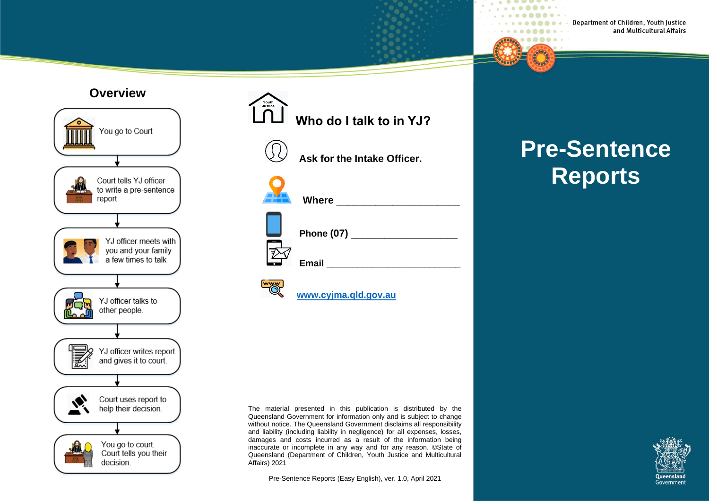#### **Overview**



# Youth<br>Justice  **Who do I talk to in YJ? Ask for the Intake Officer.**

| <b>Where</b>   |
|----------------|
| Phone (07) ___ |
| <b>Email</b>   |



## **[www.cyjma.qld.gov.au](http://www.cyjma.qld.gov.au/)**

The material presented in this publication is distributed by the Queensland Government for information only and is subject to change without notice. The Queensland Government disclaims all responsibility and liability (including liability in negligence) for all expenses, losses, damages and costs incurred as a result of the information being inaccurate or incomplete in any way and for any reason. ©State of Queensland (Department of Children, Youth Justice and Multicultural Affairs) 2021

Pre-Sentence Reports (Easy English), ver. 1.0, April 2021

# **Pre-Sentence Reports**